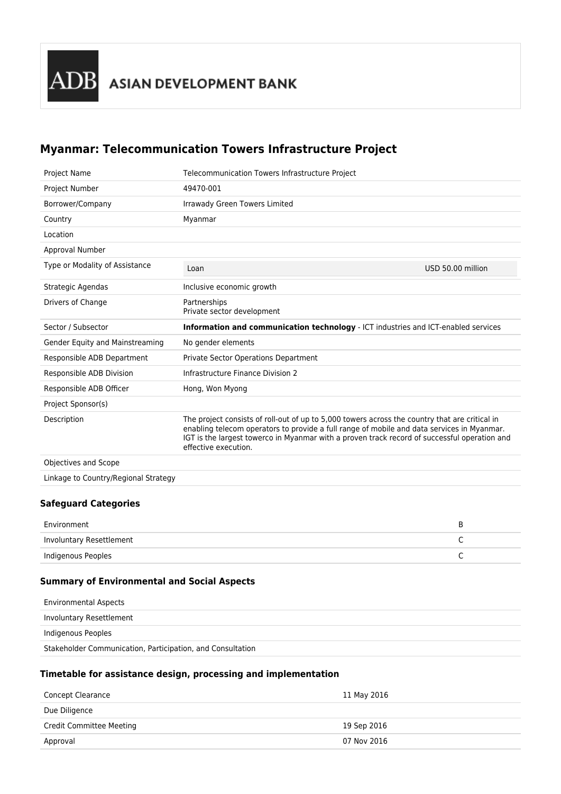## **Myanmar: Telecommunication Towers Infrastructure Project**

| Telecommunication Towers Infrastructure Project                                                                                                                                                                                                                                                                      |                   |
|----------------------------------------------------------------------------------------------------------------------------------------------------------------------------------------------------------------------------------------------------------------------------------------------------------------------|-------------------|
| 49470-001                                                                                                                                                                                                                                                                                                            |                   |
| Irrawady Green Towers Limited                                                                                                                                                                                                                                                                                        |                   |
| Myanmar                                                                                                                                                                                                                                                                                                              |                   |
|                                                                                                                                                                                                                                                                                                                      |                   |
|                                                                                                                                                                                                                                                                                                                      |                   |
| Loan                                                                                                                                                                                                                                                                                                                 | USD 50.00 million |
| Inclusive economic growth                                                                                                                                                                                                                                                                                            |                   |
| Partnerships<br>Private sector development                                                                                                                                                                                                                                                                           |                   |
| <b>Information and communication technology</b> - ICT industries and ICT-enabled services                                                                                                                                                                                                                            |                   |
| No gender elements                                                                                                                                                                                                                                                                                                   |                   |
| <b>Private Sector Operations Department</b>                                                                                                                                                                                                                                                                          |                   |
| Infrastructure Finance Division 2                                                                                                                                                                                                                                                                                    |                   |
| Hong, Won Myong                                                                                                                                                                                                                                                                                                      |                   |
|                                                                                                                                                                                                                                                                                                                      |                   |
| The project consists of roll-out of up to 5,000 towers across the country that are critical in<br>enabling telecom operators to provide a full range of mobile and data services in Myanmar.<br>IGT is the largest towerco in Myanmar with a proven track record of successful operation and<br>effective execution. |                   |
|                                                                                                                                                                                                                                                                                                                      |                   |
|                                                                                                                                                                                                                                                                                                                      |                   |
|                                                                                                                                                                                                                                                                                                                      |                   |

## **Safeguard Categories**

| Environment              |  |
|--------------------------|--|
| Involuntary Resettlement |  |
| Indigenous Peoples       |  |

## **Summary of Environmental and Social Aspects**

| <b>Environmental Aspects</b>                               |
|------------------------------------------------------------|
| Involuntary Resettlement                                   |
| Indigenous Peoples                                         |
| Stakeholder Communication, Participation, and Consultation |

## **Timetable for assistance design, processing and implementation**

| Concept Clearance               | 11 May 2016 |
|---------------------------------|-------------|
| Due Diligence                   |             |
| <b>Credit Committee Meeting</b> | 19 Sep 2016 |
| Approval                        | 07 Nov 2016 |